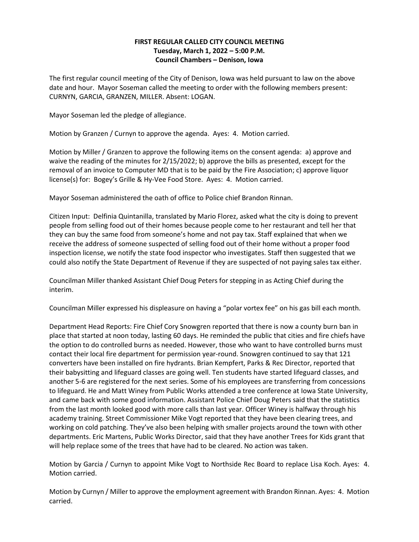## **FIRST REGULAR CALLED CITY COUNCIL MEETING Tuesday, March 1, 2022 – 5:00 P.M. Council Chambers – Denison, Iowa**

The first regular council meeting of the City of Denison, Iowa was held pursuant to law on the above date and hour. Mayor Soseman called the meeting to order with the following members present: CURNYN, GARCIA, GRANZEN, MILLER. Absent: LOGAN.

Mayor Soseman led the pledge of allegiance.

Motion by Granzen / Curnyn to approve the agenda. Ayes: 4. Motion carried.

Motion by Miller / Granzen to approve the following items on the consent agenda: a) approve and waive the reading of the minutes for 2/15/2022; b) approve the bills as presented, except for the removal of an invoice to Computer MD that is to be paid by the Fire Association; c) approve liquor license(s) for: Bogey's Grille & Hy-Vee Food Store. Ayes: 4. Motion carried.

Mayor Soseman administered the oath of office to Police chief Brandon Rinnan.

Citizen Input: Delfinia Quintanilla, translated by Mario Florez, asked what the city is doing to prevent people from selling food out of their homes because people come to her restaurant and tell her that they can buy the same food from someone's home and not pay tax. Staff explained that when we receive the address of someone suspected of selling food out of their home without a proper food inspection license, we notify the state food inspector who investigates. Staff then suggested that we could also notify the State Department of Revenue if they are suspected of not paying sales tax either.

Councilman Miller thanked Assistant Chief Doug Peters for stepping in as Acting Chief during the interim.

Councilman Miller expressed his displeasure on having a "polar vortex fee" on his gas bill each month.

Department Head Reports: Fire Chief Cory Snowgren reported that there is now a county burn ban in place that started at noon today, lasting 60 days. He reminded the public that cities and fire chiefs have the option to do controlled burns as needed. However, those who want to have controlled burns must contact their local fire department for permission year-round. Snowgren continued to say that 121 converters have been installed on fire hydrants. Brian Kempfert, Parks & Rec Director, reported that their babysitting and lifeguard classes are going well. Ten students have started lifeguard classes, and another 5-6 are registered for the next series. Some of his employees are transferring from concessions to lifeguard. He and Matt Winey from Public Works attended a tree conference at Iowa State University, and came back with some good information. Assistant Police Chief Doug Peters said that the statistics from the last month looked good with more calls than last year. Officer Winey is halfway through his academy training. Street Commissioner Mike Vogt reported that they have been clearing trees, and working on cold patching. They've also been helping with smaller projects around the town with other departments. Eric Martens, Public Works Director, said that they have another Trees for Kids grant that will help replace some of the trees that have had to be cleared. No action was taken.

Motion by Garcia / Curnyn to appoint Mike Vogt to Northside Rec Board to replace Lisa Koch. Ayes: 4. Motion carried.

Motion by Curnyn / Miller to approve the employment agreement with Brandon Rinnan. Ayes: 4. Motion carried.